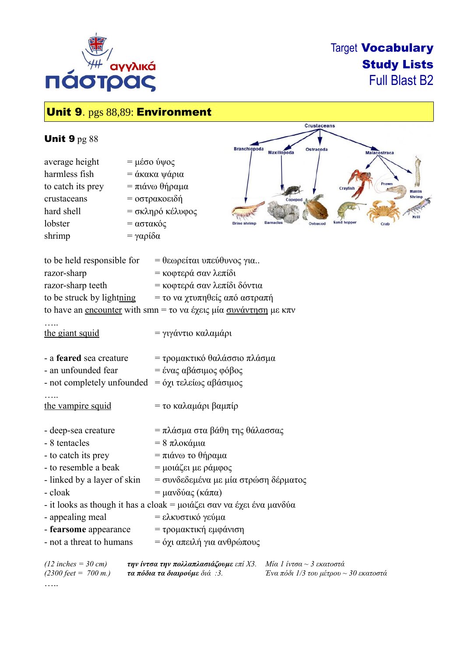

# **Target Vocabulary** Study Lists Full Blast B2

# Unit 9. pgs 88,89: Environment

| Unit $9$ pg $88$ |  |  |  |
|------------------|--|--|--|
|------------------|--|--|--|

average height = μέσο ύψος harmless fish  $=$  άκακα ψάρια to catch its prey  $= \pi i \dot{\alpha} v \omega \theta$ ήραμα crustaceans = οστρακοειδή hard shell  $=$  σκληρό κέλυφος lobster =  $αστακός$ shrimp  $= \gamma \alpha \rho i \delta \alpha$ 

- 
- 
- 



| to be held responsible for | = θεωρείται υπεύθυνος για                                        |
|----------------------------|------------------------------------------------------------------|
| razor-sharp                | = κοφτερά σαν λεπίδι                                             |
| razor-sharp teeth          | = κοφτερά σαν λεπίδι δόντια                                      |
| to be struck by lightning  | = το να χτυπηθείς από αστραπή                                    |
|                            | to have an encounter with smn = το να έχεις μία συνάντηση με κπν |
|                            |                                                                  |

the giant squid  $= γιγάντιο καλαμάρι$ 

| - a <b>feared</b> sea creature | = τρομακτικό θαλάσσιο πλάσμα |
|--------------------------------|------------------------------|
| - an unfounded fear            | = ένας αβάσιμος φόβος        |

…… the vampire squid  $= \tau$ ο καλαμάρι βαμπίρ

- not completely unfounded = όχι τελείως αβάσιμος

- deep-sea creature  $= \pi \lambda \dot{\alpha} \sigma \mu \alpha \sigma \alpha \beta \dot{\alpha} \theta$ η της θάλασσας
- $-8$  tentacles  $= 8 \pi \lambda$ οκάμια
- $-$  to catch its prey  $= \pi i \dot{\alpha} \nu \omega$  το θήραμα
- $-$  to resemble a beak = μοιάζει με ράμφος
- linked by a layer of skin = συνδεδεμένα με μία στρώση δέρματος
- $-$  cloak = μανδύας (κάπα)
- it looks as though it has a cloak = μοιάζει σαν να έχει ένα μανδύα
- $-\frac{1}{2}$  appealing meal = ελκυστικό γεύμα
- **fearsome** appearance = τρομακτική εμφάνιση
- not a threat to humans = όχι απειλή για ανθρώπους

| $(12$ inches = 30 cm)                  | την ίντσα την πολλαπλασιάζουμε επί Χ3. Μία 1 ίντσα ~ 3 εκατοστά |                                            |
|----------------------------------------|-----------------------------------------------------------------|--------------------------------------------|
| $(2300 \text{ feet} = 700 \text{ m.})$ | τα πόδια τα διαιρούμε διά : 3.                                  | Ένα πόδι 1/3 του μέτρου $\sim$ 30 εκατοστά |
| .                                      |                                                                 |                                            |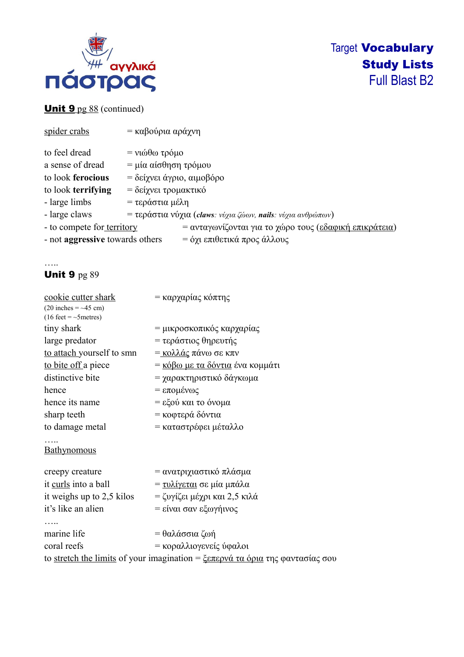

### Unit 9 pg 88 (continued)

| spider crabs                    | $= \kappa \alpha \beta$ ούρια αράχνη                        |                                                                 |
|---------------------------------|-------------------------------------------------------------|-----------------------------------------------------------------|
| to feel dread                   | $=$ νιώθω τρόμο                                             |                                                                 |
| a sense of dread                | $= \mu i \alpha \alpha \alpha \sigma \theta$ ηση τρόμου     |                                                                 |
| to look ferocious               | = δείχνει άγριο, αιμοβόρο                                   |                                                                 |
| to look terrifying              | = δείχνει τρομακτικό                                        |                                                                 |
| - large limbs                   | = τεράστια μέλη                                             |                                                                 |
| - large claws                   | = τεράστια νύχια (claws: νύχια ζώων, nails: νύχια ανθρώπων) |                                                                 |
| - to compete for territory      |                                                             | = ανταγωνίζονται για το χώρο τους ( <u>εδαφική επικράτεια</u> ) |
| - not aggressive towards others |                                                             | = όχι επιθετικά προς άλλους                                     |

#### ….. **Unit 9 pg 89**

| cookie cutter shark                    | = καρχαρίας κόπτης                                                            |
|----------------------------------------|-------------------------------------------------------------------------------|
| $(20$ inches = ~45 cm)                 |                                                                               |
| $(16 \text{ feet} = -5 \text{meters})$ |                                                                               |
| tiny shark                             | = μικροσκοπικός καρχαρίας                                                     |
| large predator                         | = τεράστιος θηρευτής                                                          |
| to attach yourself to smn              | = <u>κολλάς</u> πάνω σε κπν                                                   |
| to bite off a piece                    | <u>= κόβω με τα δόντια</u> ένα κομμάτι                                        |
| distinctive bite                       | = χαρακτηριστικό δάγκωμα                                                      |
| hence                                  | = επομένως                                                                    |
| hence its name                         | = εξού και το όνομα                                                           |
| sharp teeth                            | = κοφτερά δόντια                                                              |
| to damage metal                        | = καταστρέφει μέταλλο                                                         |
|                                        |                                                                               |
| <b>Bathynomous</b>                     |                                                                               |
|                                        |                                                                               |
| creepy creature                        | = ανατριχιαστικό πλάσμα                                                       |
| it curls into a ball                   | <u>= τυλίγεται</u> σε μία μπάλα                                               |
| it weighs up to 2,5 kilos              | = ζυγίζει μέχρι και 2,5 κιλά                                                  |
| it's like an alien                     | = είναι σαν εξωγήινος                                                         |
|                                        |                                                                               |
| marine life                            | = θαλάσσια ζωή                                                                |
| coral reefs                            | = κοραλλιογενείς ύφαλοι                                                       |
|                                        | to stretch the limits of your imagination = ξεπερνά τα όρια της φαντασίας σου |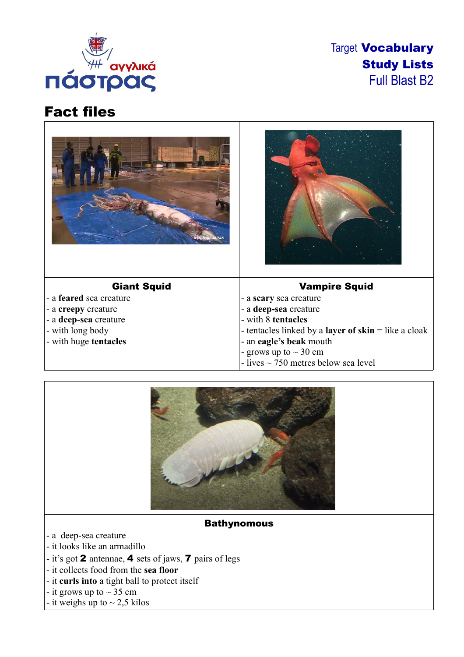

**Target Vocabulary** Study Lists Full Blast B2

# Fact files

![](_page_2_Picture_3.jpeg)

![](_page_2_Picture_4.jpeg)

**Bathynomous** 

- a deep-sea creature
- it looks like an armadillo
- it's got 2 antennae, 4 sets of jaws, 7 pairs of legs
- it collects food from the **sea floor**
- it **curls into** a tight ball to protect itself
- it grows up to  $\sim$  35 cm
- it weighs up to  $\sim$  2,5 kilos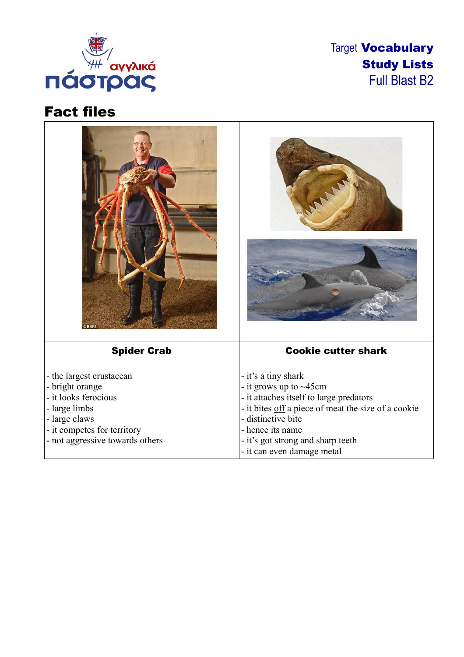![](_page_3_Picture_0.jpeg)

**Target Vocabulary** Study Lists Full Blast B2

# Fact files Spider Crab - the largest crustacean - bright orange - it looks ferocious - large limbs - large claws - it competes for territory **-** not aggressive towards others Cookie cutter shark - it's a tiny shark - it grows up to ~45cm - it attaches itself to large predators - it bites off a piece of meat the size of a cookie - distinctive bite - hence its name - it's got strong and sharp teeth - it can even damage metal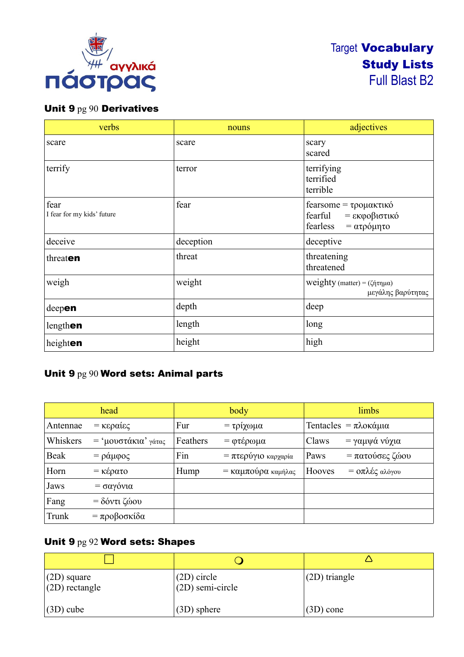![](_page_4_Picture_0.jpeg)

### Unit 9 pg 90 Derivatives

| verbs                              | adjectives<br>nouns |                                                                             |  |
|------------------------------------|---------------------|-----------------------------------------------------------------------------|--|
| scare                              | scare               | scary<br>scared                                                             |  |
| terrify                            | terror              | terrifying<br>terrified<br>terrible                                         |  |
| fear<br>I fear for my kids' future | fear                | fearsome = τρομακτικό<br>= εκφοβιστικό<br>fearful<br>= ατρόμητο<br>fearless |  |
| deceive                            | deception           | deceptive                                                                   |  |
| threaten                           | threat              | threatening<br>threatened                                                   |  |
| weigh                              | weight              | weighty (matter) = (ζήτημα)<br>μεγάλης βαρύτητας                            |  |
| deepen                             | depth               | deep                                                                        |  |
| lengthen                           | length              | long                                                                        |  |
| heighten                           | height              | high                                                                        |  |

# Unit 9 pg 90 Word sets: Animal parts

|          | head                                     |          | body                  |        | limbs                |
|----------|------------------------------------------|----------|-----------------------|--------|----------------------|
| Antennae | = κεραίες                                | Fur      | = τρίχωμα             |        | Tentacles = πλοκάμια |
| Whiskers | = 'μουστάκια' γάτας                      | Feathers | = φτέρωμα             | Claws  | = γαμψά νύχια        |
| Beak     | $=$ ράμφος                               | Fin      | $=$ πτερύγιο καρχαρία | Paws   | = πατούσες ζώου      |
| Horn     | $=$ $\kappa \epsilon \rho \alpha \tau o$ | Hump     | = καμπούρα καμήλας    | Hooves | $=$ οπλές αλόγου     |
| Jaws     | $=$ σαγόνια                              |          |                       |        |                      |
| Fang     | $=$ δόντι ζώου                           |          |                       |        |                      |
| Trunk    | $=$ προβοσκίδα                           |          |                       |        |                      |

### Unit 9 pg 92 Word sets: Shapes

| $(2D)$ square<br>$(2D)$ rectangle | $(2D)$ circle<br>(2D) semi-circle | $(2D)$ triangle |
|-----------------------------------|-----------------------------------|-----------------|
| $(3D)$ cube                       | $(3D)$ sphere                     | $(3D)$ cone     |